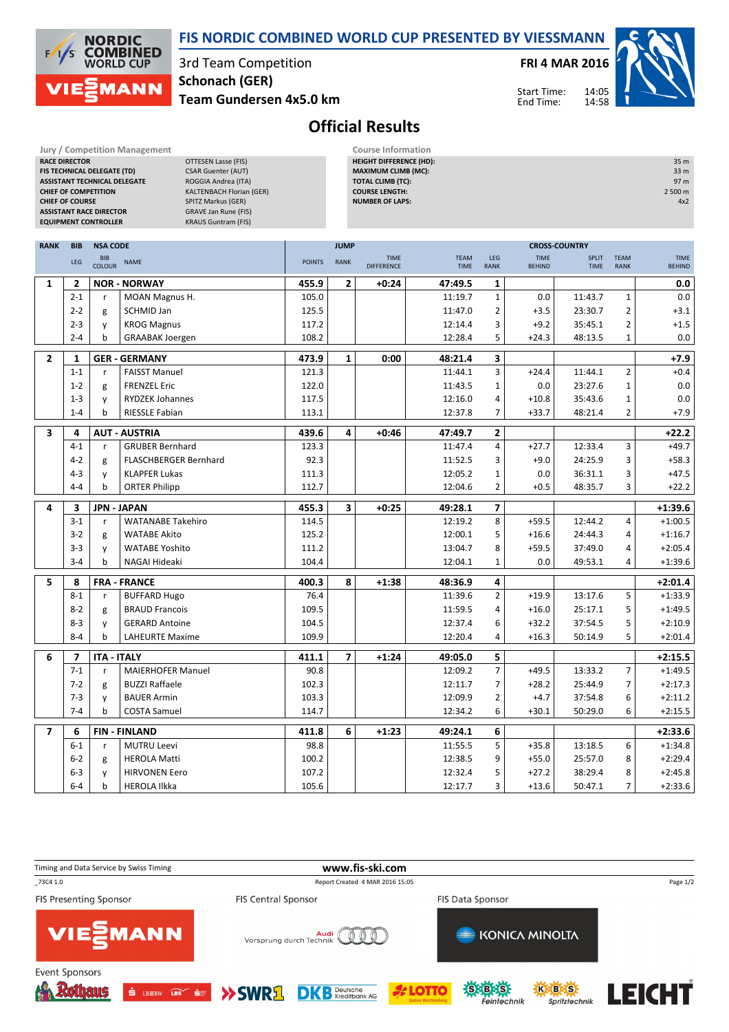

**COMBINED**<br>WORLD CUP 3rd Team Competition **Schonach (GER) 1ANN Team Gundersen 4x5.0 km**

**Jury / Competition Management Course Information**<br>**RACE DIRECTOR COURSE AGE OF THE COURSE AGES COURSE AGES COURSE AGES COURSE AGES COURSE AGES COURSE AGES COURSE AGES COURSE AGES COURSE AGES COURS DTTESEN Lasse (FIS)** 

**FIS TECHNICAL DELEGATE (TD)** CSAR Guenter (AUT)

**NORDIC** 

 $\sqrt{1}$ ľς

**FRI 4 MAR 2016**

14:05 14:58 Start Time: End Time:

**HEIGHT DIFFERENCE (HD):** 35 m **MAXIMUM CLIMB (MC):** 33 m **TOTAL CLIMB (TC):** 97 m



## **Official Results**

|                | <b>ASSISTANT TECHNICAL DELEGATE</b><br>ROGGIA Andrea (ITA)<br>KALTENBACH Florian (GER)<br><b>CHIEF OF COMPETITION</b><br><b>CHIEF OF COURSE</b><br>SPITZ Markus (GER)<br>GRAVE Jan Rune (FIS)<br><b>ASSISTANT RACE DIRECTOR</b><br><b>EQUIPMENT CONTROLLER</b><br><b>KRAUS Guntram (FIS)</b> |                             |                              |               |                | <b>TOTAL CLIMB (TC):</b><br><b>COURSE LENGTH:</b><br><b>NUMBER OF LAPS:</b> |                            |                         |                              |                             |                            | 97 m<br>2 500 m<br>4x2       |
|----------------|----------------------------------------------------------------------------------------------------------------------------------------------------------------------------------------------------------------------------------------------------------------------------------------------|-----------------------------|------------------------------|---------------|----------------|-----------------------------------------------------------------------------|----------------------------|-------------------------|------------------------------|-----------------------------|----------------------------|------------------------------|
| <b>RANK</b>    | <b>BIB</b>                                                                                                                                                                                                                                                                                   | <b>NSA CODE</b>             |                              |               | <b>JUMP</b>    |                                                                             |                            |                         |                              | <b>CROSS-COUNTRY</b>        |                            |                              |
|                | LEG                                                                                                                                                                                                                                                                                          | <b>BIB</b><br><b>COLOUR</b> | <b>NAME</b>                  | <b>POINTS</b> | <b>RANK</b>    | <b>TIME</b><br><b>DIFFERENCE</b>                                            | <b>TEAM</b><br><b>TIME</b> | LEG<br><b>RANK</b>      | <b>TIME</b><br><b>BEHIND</b> | <b>SPLIT</b><br><b>TIME</b> | <b>TEAM</b><br><b>RANK</b> | <b>TIME</b><br><b>BEHIND</b> |
| $\mathbf{1}$   | $\mathbf{2}$                                                                                                                                                                                                                                                                                 |                             | <b>NOR - NORWAY</b>          | 455.9         | 2              | $+0:24$                                                                     | 47:49.5                    | 1                       |                              |                             |                            | 0.0                          |
|                | $2 - 1$                                                                                                                                                                                                                                                                                      | r                           | MOAN Magnus H.               | 105.0         |                |                                                                             | 11:19.7                    | $\mathbf 1$             | 0.0                          | 11:43.7                     | $\mathbf 1$                | 0.0                          |
|                | $2 - 2$                                                                                                                                                                                                                                                                                      | g                           | <b>SCHMID Jan</b>            | 125.5         |                |                                                                             | 11:47.0                    | $\overline{2}$          | $+3.5$                       | 23:30.7                     | 2                          | $+3.1$                       |
|                | $2 - 3$                                                                                                                                                                                                                                                                                      | y                           | <b>KROG Magnus</b>           | 117.2         |                |                                                                             | 12:14.4                    | 3                       | $+9.2$                       | 35:45.1                     | $\overline{2}$             | $+1.5$                       |
|                | $2 - 4$                                                                                                                                                                                                                                                                                      | b                           | <b>GRAABAK Joergen</b>       | 108.2         |                |                                                                             | 12:28.4                    | 5                       | $+24.3$                      | 48:13.5                     | $\mathbf 1$                | 0.0                          |
| $\overline{2}$ | $\mathbf{1}$                                                                                                                                                                                                                                                                                 | <b>GER - GERMANY</b>        |                              | 473.9         | 1              | 0:00                                                                        | 48:21.4                    | 3                       |                              |                             |                            | +7.9                         |
|                | $1 - 1$                                                                                                                                                                                                                                                                                      | $\mathsf{r}$                | <b>FAISST Manuel</b>         | 121.3         |                |                                                                             | 11:44.1                    | 3                       | $+24.4$                      | 11:44.1                     | $\overline{2}$             | $+0.4$                       |
|                | $1 - 2$                                                                                                                                                                                                                                                                                      | g                           | <b>FRENZEL Eric</b>          | 122.0         |                |                                                                             | 11:43.5                    | $\mathbf 1$             | 0.0                          | 23:27.6                     | $\mathbf{1}$               | 0.0                          |
|                | $1 - 3$                                                                                                                                                                                                                                                                                      | y                           | RYDZEK Johannes              | 117.5         |                |                                                                             | 12:16.0                    | 4                       | $+10.8$                      | 35:43.6                     | $\mathbf{1}$               | 0.0                          |
|                | $1 - 4$                                                                                                                                                                                                                                                                                      | b                           | RIESSLE Fabian               | 113.1         |                |                                                                             | 12:37.8                    | 7                       | $+33.7$                      | 48:21.4                     | $\overline{2}$             | $+7.9$                       |
| 3              | 4                                                                                                                                                                                                                                                                                            | <b>AUT - AUSTRIA</b>        |                              | 439.6         | 4              | $+0:46$                                                                     | 47:49.7                    | $\overline{\mathbf{2}}$ |                              |                             |                            | $+22.2$                      |
|                | $4 - 1$                                                                                                                                                                                                                                                                                      | r                           | <b>GRUBER Bernhard</b>       | 123.3         |                |                                                                             | 11:47.4                    | 4                       | $+27.7$                      | 12:33.4                     | 3                          | $+49.7$                      |
|                | $4 - 2$                                                                                                                                                                                                                                                                                      | g                           | <b>FLASCHBERGER Bernhard</b> | 92.3          |                |                                                                             | 11:52.5                    | 3                       | $+9.0$                       | 24:25.9                     | 3                          | $+58.3$                      |
|                | $4 - 3$                                                                                                                                                                                                                                                                                      | y                           | <b>KLAPFER Lukas</b>         | 111.3         |                |                                                                             | 12:05.2                    | 1                       | 0.0                          | 36:31.1                     | 3                          | $+47.5$                      |
|                | $4 - 4$                                                                                                                                                                                                                                                                                      | b                           | <b>ORTER Philipp</b>         | 112.7         |                |                                                                             | 12:04.6                    | 2                       | $+0.5$                       | 48:35.7                     | 3                          | $+22.2$                      |
| 4              | 3                                                                                                                                                                                                                                                                                            |                             | <b>JPN - JAPAN</b>           | 455.3         | 3              | $+0:25$                                                                     | 49:28.1                    | 7                       |                              |                             |                            | $+1:39.6$                    |
|                | $3-1$                                                                                                                                                                                                                                                                                        | $\mathsf{r}$                | <b>WATANABE Takehiro</b>     | 114.5         |                |                                                                             | 12:19.2                    | 8                       | $+59.5$                      | 12:44.2                     | 4                          | $+1:00.5$                    |
|                | $3-2$                                                                                                                                                                                                                                                                                        | g                           | <b>WATABE Akito</b>          | 125.2         |                |                                                                             | 12:00.1                    | 5                       | $+16.6$                      | 24:44.3                     | 4                          | $+1:16.7$                    |
|                | $3 - 3$                                                                                                                                                                                                                                                                                      | y                           | <b>WATABE Yoshito</b>        | 111.2         |                |                                                                             | 13:04.7                    | 8                       | $+59.5$                      | 37:49.0                     | 4                          | $+2:05.4$                    |
|                | $3 - 4$                                                                                                                                                                                                                                                                                      | b                           | NAGAI Hideaki                | 104.4         |                |                                                                             | 12:04.1                    | $\mathbf{1}$            | 0.0                          | 49:53.1                     | 4                          | $+1:39.6$                    |
| 5              | 8                                                                                                                                                                                                                                                                                            | <b>FRA - FRANCE</b>         |                              | 400.3         | 8              | $+1:38$                                                                     | 48:36.9                    | 4                       |                              |                             |                            | $+2:01.4$                    |
|                | $8 - 1$                                                                                                                                                                                                                                                                                      | $\mathsf{r}$                | <b>BUFFARD Hugo</b>          | 76.4          |                |                                                                             | 11:39.6                    | $\overline{2}$          | $+19.9$                      | 13:17.6                     | 5                          | $+1:33.9$                    |
|                | $8 - 2$                                                                                                                                                                                                                                                                                      | g                           | <b>BRAUD Francois</b>        | 109.5         |                |                                                                             | 11:59.5                    | 4                       | $+16.0$                      | 25:17.1                     | 5                          | $+1:49.5$                    |
|                | $8 - 3$                                                                                                                                                                                                                                                                                      | y                           | <b>GERARD Antoine</b>        | 104.5         |                |                                                                             | 12:37.4                    | 6                       | $+32.2$                      | 37:54.5                     | 5                          | $+2:10.9$                    |
|                | $8 - 4$                                                                                                                                                                                                                                                                                      | $\mathbf b$                 | <b>LAHEURTE Maxime</b>       | 109.9         |                |                                                                             | 12:20.4                    | 4                       | $+16.3$                      | 50:14.9                     | 5                          | $+2:01.4$                    |
| 6              | $\overline{\mathbf{z}}$                                                                                                                                                                                                                                                                      | <b>ITA - ITALY</b>          |                              | 411.1         | $\overline{7}$ | $+1:24$                                                                     | 49:05.0                    | 5                       |                              |                             |                            | $+2:15.5$                    |
|                | $7-1$                                                                                                                                                                                                                                                                                        | r                           | <b>MAIERHOFER Manuel</b>     | 90.8          |                |                                                                             | 12:09.2                    | $\overline{7}$          | $+49.5$                      | 13:33.2                     | $\overline{7}$             | $+1:49.5$                    |
|                | $7 - 2$                                                                                                                                                                                                                                                                                      | g                           | <b>BUZZI Raffaele</b>        | 102.3         |                |                                                                             | 12:11.7                    | 7                       | $+28.2$                      | 25:44.9                     | $\overline{7}$             | $+2:17.3$                    |
|                | $7 - 3$                                                                                                                                                                                                                                                                                      | y                           | <b>BAUER Armin</b>           | 103.3         |                |                                                                             | 12:09.9                    | 2                       | $+4.7$                       | 37:54.8                     | 6                          | $+2:11.2$                    |
|                | $7 - 4$                                                                                                                                                                                                                                                                                      | b                           | <b>COSTA Samuel</b>          | 114.7         |                |                                                                             | 12:34.2                    | 6                       | $+30.1$                      | 50:29.0                     | 6                          | $+2:15.5$                    |
|                |                                                                                                                                                                                                                                                                                              |                             |                              |               |                |                                                                             |                            |                         |                              |                             |                            |                              |
| $\overline{ }$ | 6                                                                                                                                                                                                                                                                                            |                             | <b>FIN-FINLAND</b>           | 411.8         | 6              | $+1:23$                                                                     | 49:24.1                    | 6                       |                              |                             |                            | $+2:33.6$                    |
|                | $6 - 1$                                                                                                                                                                                                                                                                                      | $\mathsf{r}$                | <b>MUTRU Leevi</b>           | 98.8          |                |                                                                             | 11:55.5                    | 5                       | $+35.8$                      | 13:18.5                     | 6                          | $+1:34.8$                    |
|                | $6 - 2$                                                                                                                                                                                                                                                                                      | g                           | <b>HEROLA Matti</b>          | 100.2         |                |                                                                             | 12:38.5                    | 9                       | $+55.0$                      | 25:57.0                     | 8                          | $+2:29.4$                    |
|                | $6-3$                                                                                                                                                                                                                                                                                        | y                           | <b>HIRVONEN Eero</b>         | 107.2         |                |                                                                             | 12:32.4                    | 5                       | $+27.2$                      | 38:29.4                     | 8                          | $+2:45.8$                    |
|                | $6 - 4$                                                                                                                                                                                                                                                                                      | $\mathsf b$                 | <b>HEROLA Ilkka</b>          | 105.6         |                |                                                                             | 12:17.7                    | 3                       | $+13.6$                      | 50:47.1                     | $\overline{7}$             | $+2:33.6$                    |